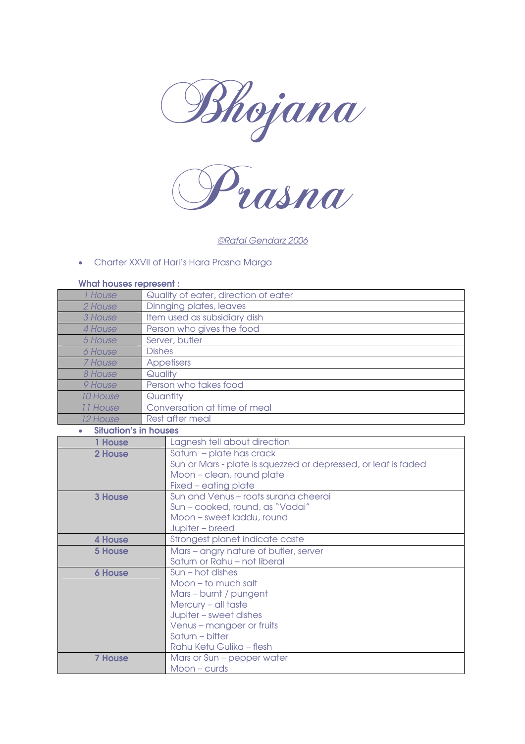



©Rafal Gendarz 2006

#### • Charter XXVII of Hari's Hara Prasna Marga

#### What houses represent :

| 1 House  | Quality of eater, direction of eater |
|----------|--------------------------------------|
| 2 House  | Dinnging plates, leaves              |
| 3 House  | Item used as subsidiary dish         |
| 4 House  | Person who gives the food            |
| 5 House  | Server, butler                       |
| 6 House  | <b>Dishes</b>                        |
| 7 House  | <b>Appetisers</b>                    |
| 8 House  | Quality                              |
| 9 House  | Person who takes food                |
| 10 House | Quantity                             |
| 11 House | Conversation at time of meal         |
| 12 House | Rest after meal                      |

#### • Situation's in houses

| <b>House</b>   | Lagnesh tell about direction                                                               |
|----------------|--------------------------------------------------------------------------------------------|
| 2 House        | Saturn - plate has crack<br>Sun or Mars - plate is squezzed or depressed, or leaf is faded |
|                | Moon - clean, round plate                                                                  |
|                | Fixed – eating plate                                                                       |
| <b>3 House</b> | Sun and Venus - roots surana cheerai                                                       |
|                | Sun - cooked, round, as "Vadai"                                                            |
|                | Moon – sweet laddu, round                                                                  |
|                | Jupiter - breed                                                                            |
| 4 House        | Strongest planet indicate caste                                                            |
| <b>5 House</b> | Mars - angry nature of butler, server                                                      |
|                | Saturn or Rahu - not liberal                                                               |
| <b>6 House</b> | Sun – hot dishes                                                                           |
|                | Moon - to much salt                                                                        |
|                | Mars - burnt / pungent                                                                     |
|                | Mercury - all taste                                                                        |
|                | Jupiter - sweet dishes                                                                     |
|                | Venus - mangoer or fruits                                                                  |
|                | Saturn – bitter                                                                            |
|                | Rahu Ketu Gulika - flesh                                                                   |
| <b>7 House</b> | Mars or Sun - pepper water                                                                 |
|                | $Moon - curds$                                                                             |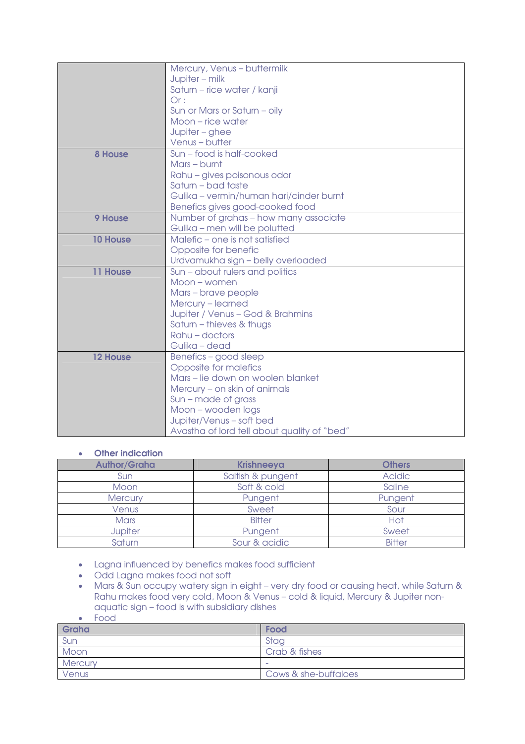|                 | Mercury, Venus - buttermilk                 |
|-----------------|---------------------------------------------|
|                 | Jupiter - milk                              |
|                 | Saturn - rice water / kanji                 |
|                 | Or:                                         |
|                 | Sun or Mars or Saturn - oily                |
|                 | Moon – rice water                           |
|                 | Jupiter - ghee                              |
|                 | Venus-butter                                |
| 8 House         | Sun - food is half-cooked                   |
|                 | Mars - burnt                                |
|                 | Rahu - gives poisonous odor                 |
|                 | Saturn - bad taste                          |
|                 | Gulika - vermin/human hari/cinder burnt     |
|                 | Benefics gives good-cooked food             |
| 9 House         | Number of grahas - how many associate       |
|                 | Gulika - men will be polutted               |
| <b>10 House</b> | Malefic - one is not satisfied              |
|                 | Opposite for benefic                        |
|                 | Urdvamukha sign - belly overloaded          |
| 11 House        | Sun - about rulers and politics             |
|                 | Moon – women                                |
|                 | Mars - brave people                         |
|                 | Mercury - learned                           |
|                 | Jupiter / Venus - God & Brahmins            |
|                 | Saturn - thieves & thugs                    |
|                 | Rahu - doctors                              |
|                 | Gulika - dead                               |
| <b>12 House</b> | Benefics - good sleep                       |
|                 | Opposite for malefics                       |
|                 | Mars - lie down on woolen blanket           |
|                 | Mercury - on skin of animals                |
|                 | Sun – made of grass                         |
|                 | Moon - wooden logs                          |
|                 | Jupiter/Venus - soft bed                    |
|                 | Avastha of lord tell about quality of "bed" |

#### • Other indication

| <b>Author/Graha</b> | <b>Krishneeya</b> | <b>Others</b> |
|---------------------|-------------------|---------------|
| Sun                 | Saltish & pungent | <b>Acidic</b> |
| Moon                | Soft & cold       | Saline        |
| <b>Mercury</b>      | Pungent           | Pungent       |
| Venus               | Sweet             | Sour          |
| <b>Mars</b>         | <b>Bitter</b>     | Hot           |
| <b>Jupiter</b>      | Pungent           | Sweet         |
| Saturn              | Sour & acidic     | <b>Bitter</b> |

- Lagna influenced by benefics makes food sufficient
- Odd Lagna makes food not soft
- Mars & Sun occupy watery sign in eight very dry food or causing heat, while Saturn & Rahu makes food very cold, Moon & Venus – cold & liquid, Mercury & Jupiter nonaquatic sign – food is with subsidiary dishes
- Food

| Graha          | Food                 |
|----------------|----------------------|
| Sun            | Stag                 |
| Moon           | Crab & fishes        |
| <b>Mercury</b> | $\sim$               |
| Venus          | Cows & she-buffaloes |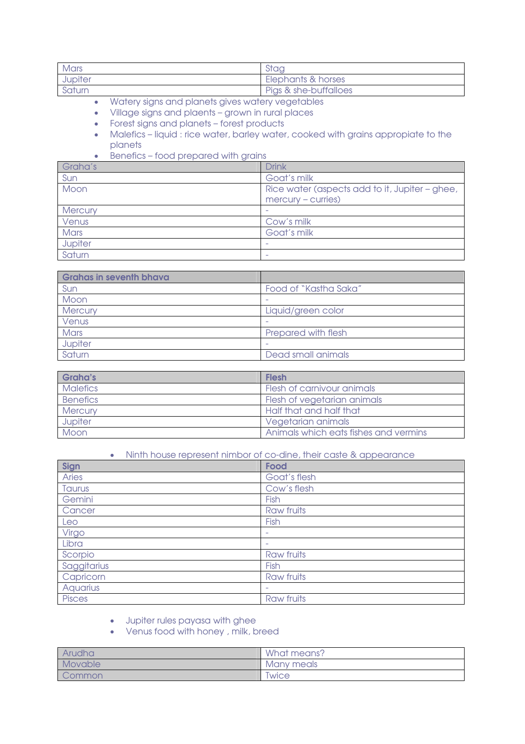| Mars    | Stag                  |
|---------|-----------------------|
| Jupiter | Elephants & horses    |
| Saturn  | Pigs & she-buffalloes |

- Watery signs and planets gives watery vegetables
- Village signs and plaents grown in rural places
- Forest signs and planets forest products
- Malefics liquid : rice water, barley water, cooked with grains appropiate to the planets

### • Benefics – food prepared with grains

| Graha's     | <b>Drink</b>                                   |
|-------------|------------------------------------------------|
| Sun         | Goat's milk                                    |
| Moon        | Rice water (aspects add to it, Jupiter - ghee, |
|             | $mercury$ - curries)                           |
| Mercury     |                                                |
| Venus       | Cow's milk                                     |
| <b>Mars</b> | Goat's milk                                    |
| Jupiter     |                                                |
| Saturn      | ٠                                              |

| <b>Grahas in seventh bhava</b> |                       |
|--------------------------------|-----------------------|
| Sun                            | Food of "Kastha Saka" |
| Moon                           |                       |
| <b>Mercury</b>                 | Liquid/green color    |
| Venus                          |                       |
| <b>Mars</b>                    | Prepared with flesh   |
| Jupiter                        |                       |
| Saturn                         | Dead small animals    |

| Graha's         | <b>Flesh</b>                          |
|-----------------|---------------------------------------|
| <b>Malefics</b> | Flesh of carnivour animals            |
| <b>Benefics</b> | Flesh of vegetarian animals           |
| <b>Mercury</b>  | Half that and half that               |
| Jupiter         | Vegetarian animals                    |
| Moon            | Animals which eats fishes and vermins |

## • Ninth house represent nimbor of co-dine, their caste & appearance

| Sign            | Food         |
|-----------------|--------------|
| Aries           | Goat's flesh |
| Taurus          | Cow's flesh  |
| Gemini          | Fish         |
| Cancer          | Raw fruits   |
| Leo             | Fish         |
| Virgo           | ۰            |
| Libra           | ٠            |
| Scorpio         | Raw fruits   |
| Saggitarius     | Fish         |
| Capricorn       | Raw fruits   |
| <b>Aquarius</b> | ۰            |
| <b>Pisces</b>   | Raw fruits   |

#### • Jupiter rules payasa with ghee

• Venus food with honey , milk, breed

| Arudha  | What means?                |
|---------|----------------------------|
| Movable | Many meals                 |
| Common  | <i><u><b>Iwice</b></u></i> |